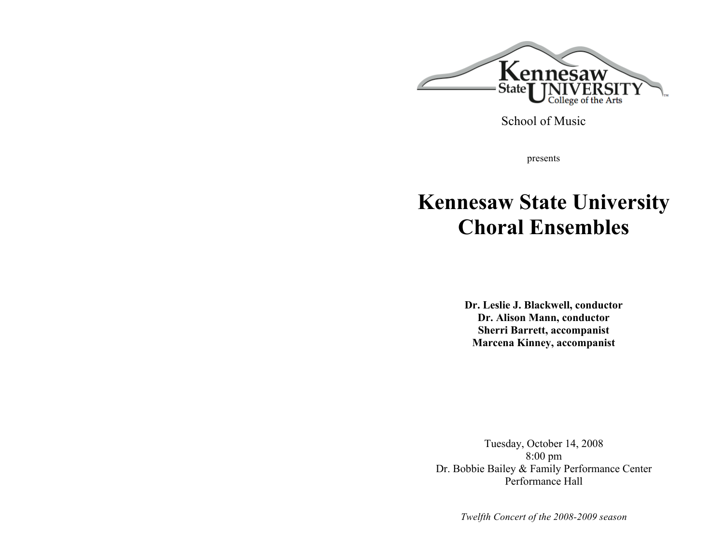

School of Music

presents

# **Kennesaw State University Choral Ensembles**

**Dr. Leslie J. Blackwell, conductor Dr. Alison Mann, conductor Sherri Barrett, accompanist Marcena Kinney, accompanist**

Tuesday, October 14, 2008 8:00 pm Dr. Bobbie Bailey & Family Performance Center Performance Hall

*Twelfth Concert of the 2008-2009 season*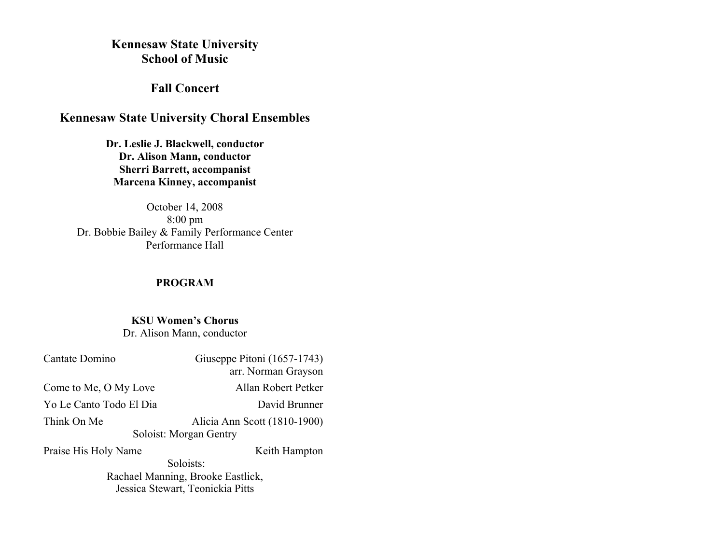# **Kennesaw State University School of Music**

# **Fall Concert**

# **Kennesaw State University Choral Ensembles**

**Dr. Leslie J. Blackwell, conductor Dr. Alison Mann, conductor Sherri Barrett, accompanist Marcena Kinney, accompanist**

October 14, 2008 8:00 pm Dr. Bobbie Bailey & Family Performance Center Performance Hall

# **PROGRAM**

# **KSU Women's Chorus**

Dr. Alison Mann, conductor

| Cantate Domino                    | Giuseppe Pitoni (1657-1743)  |  |
|-----------------------------------|------------------------------|--|
|                                   | arr. Norman Grayson          |  |
| Come to Me, O My Love             | Allan Robert Petker          |  |
| Yo Le Canto Todo El Dia           | David Brunner                |  |
| Think On Me                       | Alicia Ann Scott (1810-1900) |  |
| Soloist: Morgan Gentry            |                              |  |
| Praise His Holy Name              | Keith Hampton                |  |
| Soloists:                         |                              |  |
| Rachael Manning, Brooke Eastlick, |                              |  |
| Jessica Stewart, Teonickia Pitts  |                              |  |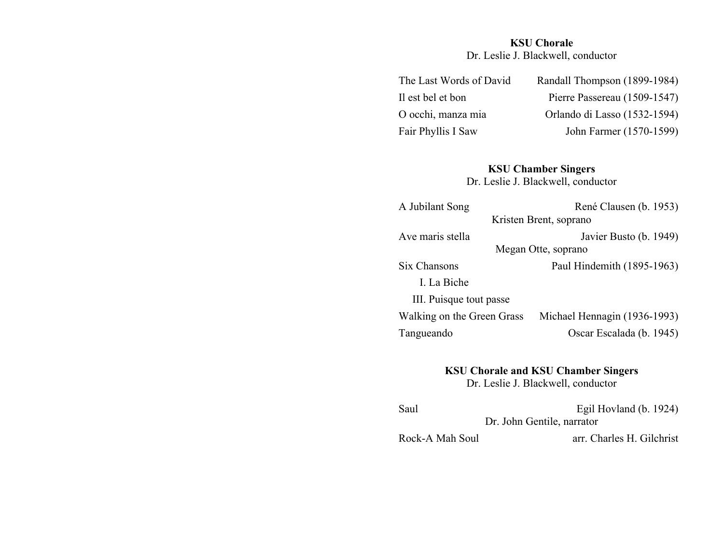# **KSU Chorale**

Dr. Leslie J. Blackwell, conductor

| The Last Words of David | Randall Thompson (1899-1984) |
|-------------------------|------------------------------|
| Il est bel et bon       | Pierre Passereau (1509-1547) |
| O occhi, manza mia      | Orlando di Lasso (1532-1594) |
| Fair Phyllis I Saw      | John Farmer (1570-1599)      |
|                         |                              |

### **KSU Chamber Singers**

Dr. Leslie J. Blackwell, conductor

| A Jubilant Song            | René Clausen (b. 1953)       |
|----------------------------|------------------------------|
|                            | Kristen Brent, soprano       |
| Ave maris stella           | Javier Busto (b. 1949)       |
|                            | Megan Otte, soprano          |
| Six Chansons               | Paul Hindemith (1895-1963)   |
| I. La Biche                |                              |
| III. Puisque tout passe    |                              |
| Walking on the Green Grass | Michael Hennagin (1936-1993) |
| Tangueando                 | Oscar Escalada (b. 1945)     |
|                            |                              |

**KSU Chorale and KSU Chamber Singers**

Dr. Leslie J. Blackwell, conductor

| Saul                       | Egil Hovland (b. 1924)    |
|----------------------------|---------------------------|
| Dr. John Gentile, narrator |                           |
| Rock-A Mah Soul            | arr. Charles H. Gilchrist |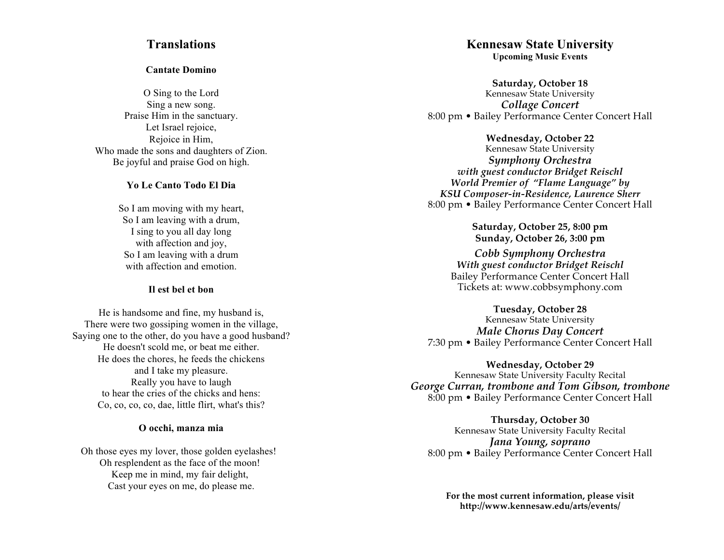# **Translations**

#### **Cantate Domino**

O Sing to the Lord Sing a new song. Praise Him in the sanctuary. Let Israel rejoice, Rejoice in Him, Who made the sons and daughters of Zion. Be joyful and praise God on high.

#### **Y o L e C a n t o T o d o E l D i a**

So I am moving with my heart, So I am leaving with a drum, I sing to you all day long with affection and joy, So I am leaving with a drum with affection and emotion.

#### Il est bel et bon

He is handsome and fine, my husband is, There were two gossiping women in the village, Saying one to the other, do you have a good husband? He doesn't scold me, or beat me either. He does the chores, he feeds the chickens and I take my pleasure. Really you have to laugh to hear the cries of the chicks and hens: Co, co, co, co, dae, little flirt, what's this?

#### **O occhi, manza mia**

Oh those eyes my lover, those golden eyelashes! Oh resplendent as the face of the moon! Keep me in mind, my fair delight, Cast your eyes on me, do please me.

# **Kennesaw State University**

**Upcoming Music Events** 

**S a t u r d a y , O c t o b e r 1 8** Kennesaw State University *Collage Concert* 8:00 pm • Bailey Performance Center Concert Hall

> Wednesday, October 22 Kennesaw State University

*Symphony Orchestra* with guest conductor Bridget Reischl World Premier of "Flame Language" by KSU Composer-in-Residence, Laurence Sherr 8:00 pm • Bailey Performance Center Concert Hall

> **S a t u r d a y , O c t o b e r 2 5 , 8 : 0 0 p m S u n d a y , O c t o b e r 2 6 , 3 : 0 0 p m**

*Cobb Symphony Orchestra* **With guest conductor Bridget Reischl** Bailey Performance Center Concert Hall Tickets at: www.cobbsymphony.com

Tuesday, October 28 Kennesaw State University *Male Chorus Day Concert*

7:30 pm • Bailey Performance Center Concert Hall

Wednesday, October 29 Kennesaw State University Faculty Recital *George Curran, trombone and Tom Gibson, trombone* 8:00 pm • Bailey Performance Center Concert Hall

**Thursday, October 30** Kennesaw State University Faculty Recital *Jana Young, soprano* 8:00 pm • Bailey Performance Center Concert Hall

For the most current information, please visit http://www.kennesaw.edu/arts/events/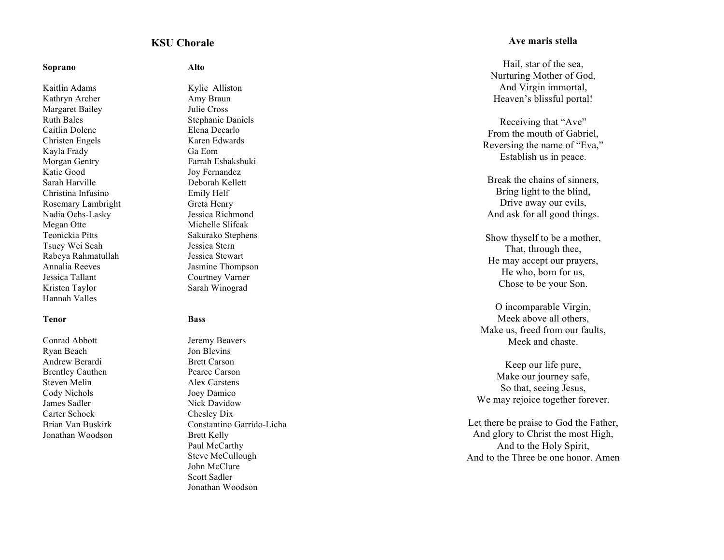#### **KSU Chorale**

#### **S o p r a n o**

Kaitlin Adams Kathryn Archer Margaret Bailey Ruth Bales Caitlin Dolenc Christen Engels Kayla Frady Morgan Gentry Katie Good Sarah Harville Christina Infusino Rosemary Lambright Nadia Ochs-Lasky Megan Otte Teonickia Pitts Tsuey Wei Seah Rabeya Rahmatullah Annalia Reeves Jessica Tallant Kristen Taylor Hannah Valles

#### **T e n o r**

Conrad Abbott Ryan Beach Andrew Berardi Brentley Cauthen Steven Melin Cody Nichols James Sadler Carter Schock Brian Van Buskirk Jonathan Woodson

**A l t o**

Kylie Alliston Amy Braun Julie Cross Stephanie Daniels Elena Decarlo Karen Edwards G a E o m Farrah Eshakshuki Joy Fernandez Deborah Kellett Emily Helf Greta Henry Jessica Richmond Michelle Slifcak Sakurako Stephens Jessica Stern Jessica Stewart Jasmine Thompson Courtney Varner Sarah Winograd

#### **B a s s**

Jeremy Beavers Jon Blevins Brett Carson Pearce Carson Alex Carstens Joey Damico Nick Davidow Chesley Dix Constantino Garrido-Licha Brett Kelly Paul McCarthy Steve McCullough John McClure Scott Sadler Jonathan Woodson

#### **A v e m a r i s s t e l l a**

Hail, star of the sea, Nurturing Mother of God, And Virgin immortal, Heaven's blissful portal!

Receiving that "Ave" From the mouth of Gabriel, Reversing the name of "Eva," Establish us in peace.

Break the chains of sinners, Bring light to the blind, Drive away our evils, And ask for all good things.

Show thy self to be a mother, That, through thee, He may accept our prayers, He who, born for us, Chose to be your Son.

O incomparable Virgin, Meek above all others, Make us, freed from our faults, Meek and chaste.

Keep our life pure, Make our journey safe, So that, seeing Jesus, We may rejoice together forever.

Let there be praise to God the Father, And glory to Christ the most High, And to the Holy Spirit, And to the Three be one honor. Amen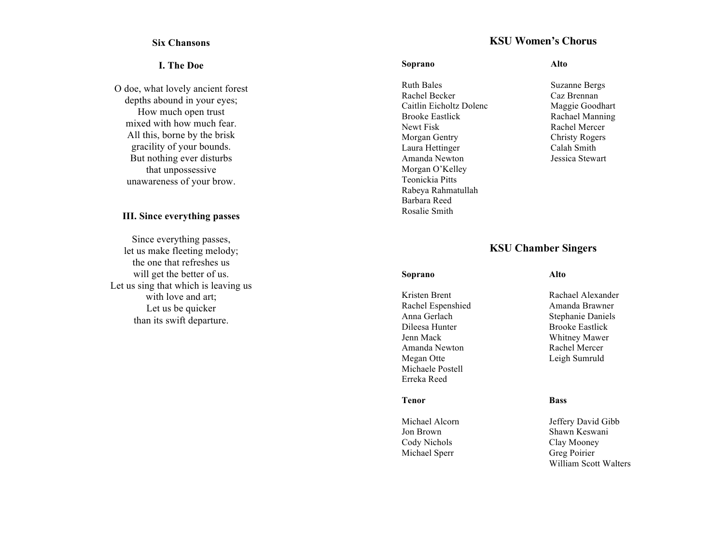#### **Six Chansons**

#### **I . T h e D o e**

O doe, what lovely ancient forest depths abound in your eyes; How much open trust mixed with how much fear. All this, borne by the brisk gracility of your bounds. But nothing ever disturbs that unpossessive unawareness of your brow.

#### **III.** Since everything passes

Since everything passes, let us make fleeting melody; the one that refreshes us will get the better of us. Let us sing that which is leaving us with love and art; Let us be quicker than its swift departure.

# **KSU Women's Chorus**

#### **S o p r a n o**

Ruth Bales Rachel Becker Caitlin Eicholtz Dolenc Brooke Eastlick Newt Fisk Morgan Gentry Laura Hettinger Amanda Newton Morgan O'Kelley Teonickia Pitts Rabeya Rahmatullah Barbara Reed Rosalie Smith

#### **A l t o**

Suzanne Bergs Caz Brennan Maggie Goodhart Rachael Manning Rachel Mercer Christy Rogers Calah Smith Jessica Stewart

# **KSU Chamber Singers**

#### **S o p r a n o**

Kristen Brent Rachel Espenshied Anna Gerlach Dileesa Hunter Jenn Mack Amanda Newton Megan Otte Michaele Postell Erreka Reed

#### **T e n o r**

Michael Alcorn Jon Brown Cody Nichols Michael Sperr

#### **A l t o**

Rachael Alexander Amanda Brawner Stephanie Daniels Brooke Eastlick Whitney Mawer Rachel Mercer Leigh Sumruld

#### **B a s s**

Jeffery David Gibb Shawn Keswani Clay Mooney Greg Poirier William Scott Walters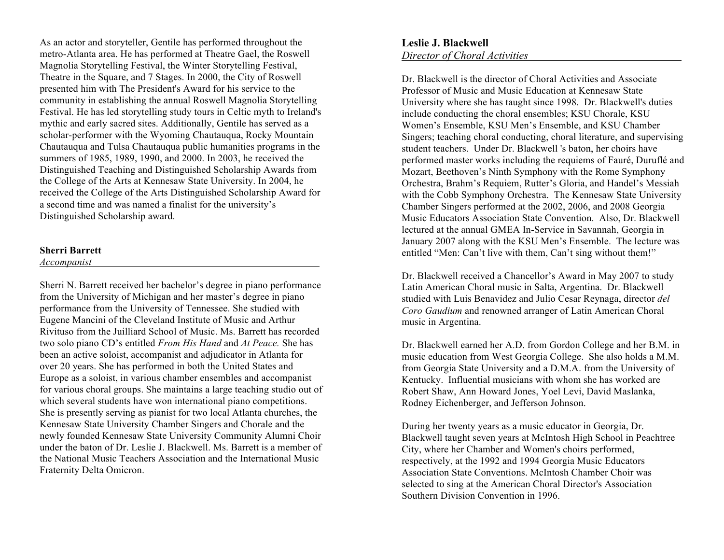As an actor and storyteller, Gentile has performed throughout the metro-Atlanta area. He has performed at Theatre Gael, the Roswell Magnolia Storytelling Festival, the Winter Storytelling Festival, Theatre in the Square, and 7 Stages. In 2000, the City of Roswell presented him with The President's Award for his service to the community in establishing the annual Roswell Magnolia Storytelling Festival. He has led storytelling study tours in Celtic myth to Ireland's mythic and early sacred sites. Additionally, Gentile has served as a scholar-performer with the Wyoming Chautauqua, Rocky Mountain Chautauqua and Tulsa Chautauqua public humanities programs in the summers of 1985, 1989, 1990, and 2000. In 2003, he received the Distinguished Teaching and Distinguished Scholarship Awards from the College of the Arts at Kennesaw State University. In 2004, he received the College of the Arts Distinguished Scholarship Award for a second time and was named a finalist for the university's Distinguished Scholarship award.

#### **Sherri Barrett**

#### *Accompanist*

Sherri N. Barrett received her bachelor's degree in piano performance from the University of Michigan and her master's degree in piano performance from the University of Tennessee. She studied with Eugene Mancini of the Cleveland Institute of Music and Arthur Rivituso from the Juilliard School of Music. Ms. Barrett has recorded two solo piano CD's entitled *From His Hand* and *At Peace.* She has been an active soloist, accompanist and adjudicator in Atlanta for over 20 years. She has performed in both the United States and Europe as a soloist, in various chamber ensembles and accompanist for various choral groups. She maintains a large teaching studio out of which several students have won international piano competitions. She is presently serving as pianist for two local Atlanta churches, the Kennesaw State University Chamber Singers and Chorale and the newly founded Kennesaw State University Community Alumni Choir under the baton of Dr. Leslie J. Blackwell. Ms. Barrett is a member of the National Music Teachers Association and the International Music Fraternity Delta Omicron.

Dr. Blackwell is the director of Choral Activities and Associate Professor of Music and Music Education at Kennesaw State University where she has taught since 1998. Dr. Blackwell's duties include conducting the choral ensembles; KSU Chorale, KSU Women's Ensemble, KSU Men's Ensemble, and KSU Chamber Singers; teaching choral conducting, choral literature, and supervising student teachers. Under Dr. Blackwell 's baton, her choirs have performed master works including the requiems of Fauré, Duruflé and Mozart, Beethoven's Ninth Symphony with the Rome Symphony Orchestra, Brahm's Requiem, Rutter's Gloria, and Handel's Messiah with the Cobb Symphony Orchestra. The Kennesaw State University Chamber Singers performed at the 2002, 2006, and 2008 Georgia Music Educators Association State Convention. Also, Dr. Blackwell lectured at the annual GMEA In-Service in Savannah, Georgia in January 2007 along with the KSU Men's Ensemble. The lecture was entitled "Men: Can't live with them, Can't sing without them!"

Dr. Blackwell received a Chancellor's Award in May 2007 to study Latin American Choral music in Salta, Argentina. Dr. Blackwell studied with Luis Benavidez and Julio Cesar Reynaga, director *del Coro Gaudium* and renowned arranger of Latin American Choral music in Argentina.

Dr. Blackwell earned her A.D. from Gordon College and her B.M. in music education from West Georgia College. She also holds a M.M. from Georgia State University and a D.M.A. from the University of Kentucky. Influential musicians with whom she has worked are Robert Shaw, Ann Howard Jones, Yoel Levi, David Maslanka, Rodney Eichenberger, and Jefferson Johnson.

During her twenty years as a music educator in Georgia, Dr. Blackwell taught seven years at McIntosh High School in Peachtree City, where her Chamber and Women's choirs performed, respectively, at the 1992 and 1994 Georgia Music Educators Association State Conventions. McIntosh Chamber Choir was selected to sing at the American Choral Director's Association Southern Division Convention in 1996.